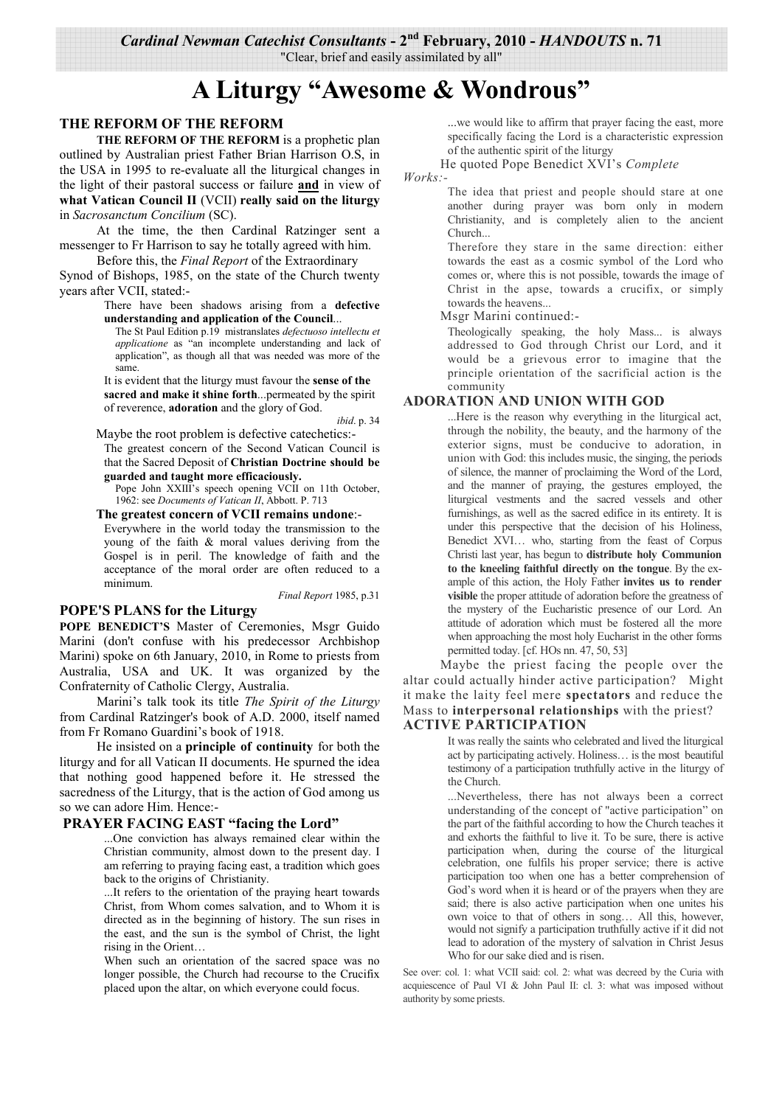"Clear, brief and easily assimilated by all"

# A Liturgy "Awesome & Wondrous"

### THE REFORM OF THE REFORM

THE REFORM OF THE REFORM is a prophetic plan outlined by Australian priest Father Brian Harrison O.S. in the USA in 1995 to re-evaluate all the liturgical changes in the light of their pastoral success or failure and in view of what Vatican Council II (VCII) really said on the liturgy in Sacrosanctum Concilium (SC).

At the time, the then Cardinal Ratzinger sent a messenger to Fr Harrison to say he totally agreed with him.

Before this, the *Final Report* of the Extraordinary

Synod of Bishops, 1985, on the state of the Church twenty years after VCII, stated:-

#### There have been shadows arising from a defective understanding and application of the Council...

The St Paul Edition p.19 mistranslates defectuoso intellectu et *applicatione* as "an incomplete understanding and lack of application", as though all that was needed was more of the same

It is evident that the liturgy must favour the sense of the sacred and make it shine forth...permeated by the spirit of reverence, adoration and the glory of God.

ibid. p. 34

Maybe the root problem is defective catechetics:-The greatest concern of the Second Vatican Council is that the Sacred Deposit of Christian Doctrine should be

guarded and taught more efficaciously.

Pope John XXIII's speech opening VCII on 11th October, 1962: see Documents of Vatican II, Abbott. P. 713

The greatest concern of VCII remains undone:-Everywhere in the world today the transmission to the

young of the faith & moral values deriving from the Gospel is in peril. The knowledge of faith and the acceptance of the moral order are often reduced to a minimum.

Final Report 1985, p.31

### **POPE'S PLANS for the Liturgy**

POPE BENEDICT'S Master of Ceremonies, Msgr Guido Marini (don't confuse with his predecessor Archbishop Marini) spoke on 6th January, 2010, in Rome to priests from Australia, USA and UK. It was organized by the Confraternity of Catholic Clergy, Australia.

Marini's talk took its title The Spirit of the Liturgy from Cardinal Ratzinger's book of A.D. 2000, itself named from Fr Romano Guardini's book of 1918.

He insisted on a **principle of continuity** for both the liturgy and for all Vatican II documents. He spurned the idea that nothing good happened before it. He stressed the sacredness of the Liturgy, that is the action of God among us so we can adore Him. Hence:-

#### **PRAYER FACING EAST "facing the Lord"**

...One conviction has always remained clear within the Christian community, almost down to the present day. I am referring to praying facing east, a tradition which goes back to the origins of Christianity.

...It refers to the orientation of the praying heart towards Christ, from Whom comes salvation, and to Whom it is directed as in the beginning of history. The sun rises in the east, and the sun is the symbol of Christ, the light rising in the Orient...

When such an orientation of the sacred space was no longer possible, the Church had recourse to the Crucifix placed upon the altar, on which everyone could focus.

...we would like to affirm that prayer facing the east, more specifically facing the Lord is a characteristic expression of the authentic spirit of the liturgy

He quoted Pope Benedict XVI's Complete

 $Works$ :-

The idea that priest and people should stare at one another during prayer was born only in modern Christianity, and is completely alien to the ancient Church

Therefore they stare in the same direction: either towards the east as a cosmic symbol of the Lord who comes or, where this is not possible, towards the image of Christ in the apse, towards a crucifix, or simply towards the heavens...

#### Msgr Marini continued:-

Theologically speaking, the holy Mass... is always addressed to God through Christ our Lord, and it would be a grievous error to imagine that the principle orientation of the sacrificial action is the community

### **ADORATION AND UNION WITH GOD**

...Here is the reason why everything in the liturgical act. through the nobility, the beauty, and the harmony of the exterior signs, must be conducive to adoration, in union with God: this includes music, the singing, the periods of silence, the manner of proclaiming the Word of the Lord, and the manner of praying, the gestures employed, the liturgical vestments and the sacred vessels and other furnishings, as well as the sacred edifice in its entirety. It is under this perspective that the decision of his Holiness, Benedict XVI... who, starting from the feast of Corpus Christi last year, has begun to distribute holy Communion to the kneeling faithful directly on the tongue. By the example of this action, the Holy Father invites us to render visible the proper attitude of adoration before the greatness of the mystery of the Eucharistic presence of our Lord. An attitude of adoration which must be fostered all the more when approaching the most holy Eucharist in the other forms permitted today. [cf. HOs nn. 47, 50, 53]

Maybe the priest facing the people over the altar could actually hinder active participation? Might it make the laity feel mere spectators and reduce the Mass to interpersonal relationships with the priest? **ACTIVE PARTICIPATION** 

> It was really the saints who celebrated and lived the liturgical act by participating actively. Holiness... is the most beautiful testimony of a participation truthfully active in the liturgy of the Church.

> ...Nevertheless, there has not always been a correct understanding of the concept of "active participation" on the part of the faithful according to how the Church teaches it and exhorts the faithful to live it. To be sure, there is active participation when, during the course of the liturgical celebration, one fulfils his proper service; there is active participation too when one has a better comprehension of God's word when it is heard or of the prayers when they are said; there is also active participation when one unites his own voice to that of others in song... All this, however, would not signify a participation truthfully active if it did not lead to adoration of the mystery of salvation in Christ Jesus Who for our sake died and is risen.

See over: col. 1: what VCII said: col. 2: what was decreed by the Curia with acquiescence of Paul VI & John Paul II: cl. 3: what was imposed without authority by some priests.